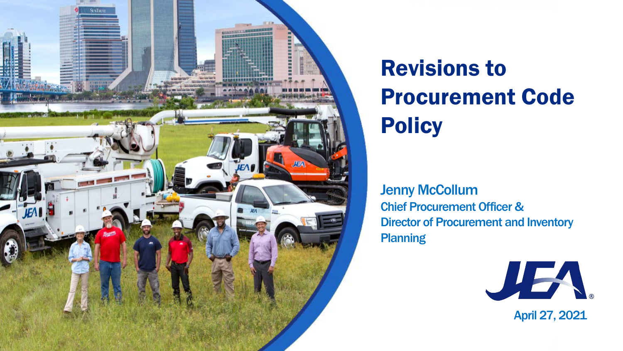

# Revisions to Procurement Code **Policy**

**Jenny McCollum** Chief Procurement Officer & Director of Procurement and Inventory **Planning** 



### April 27, 2021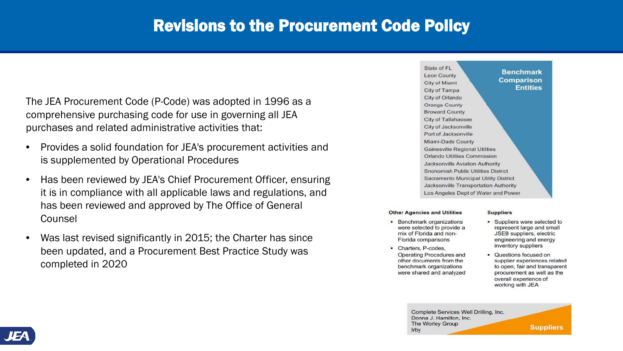# Revisions to the Procurement Code Policy

The JEA Procurement Code (P-Code) was adopted in 1996 as a comprehensive purchasing code for use in governing all JEA purchases and related administrative activities that:

- Provides a solid foundation for JEA's procurement activities and is supplemented by Operational Procedures
- Has been reviewed by JEA's Chief Procurement Officer, ensuring it is in compliance with all applicable laws and regulations, and has been reviewed and approved by The Office of General Counsel
- Was last revised significantly in 2015; the Charter has since been updated, and a Procurement Best Practice Study was completed in 2020

State of FL **Leon County** City of Miami City of Tampa City of Orlando Orange County **Broward County** City of Tallahassee City of Jacksonville Port of Jacksonville Miami-Dade County **Gainesville Regional Utilities** Orlando Utilities Commission **Jacksonville Aviation Authority** Snohomish Public Utilities District Sacramento Municipal Utility District Jacksonville Transportation Authority Los Angeles Dept of Water and Power

#### **Other Agencies and Utilities**

- Benchmark organizations were selected to provide a mix of Florida and non-Florida comparisons
- Charters, P-codes, Operating Procedures and other documents from the benchmark organizations were shared and analyzed

Complete Services Well Drilling, Inc. Donna J. Hamilton, Inc. The Worley Group Irby



**Benchmark Comparison Entities** 

#### **Suppliers**

- Suppliers were selected to represent large and small JSEB suppliers, electric engineering and energy inventory suppliers
- Questions focused on supplier experiences related to open, fair and transparent procurement as well as the overall experience of working with JEA

**Suppliers**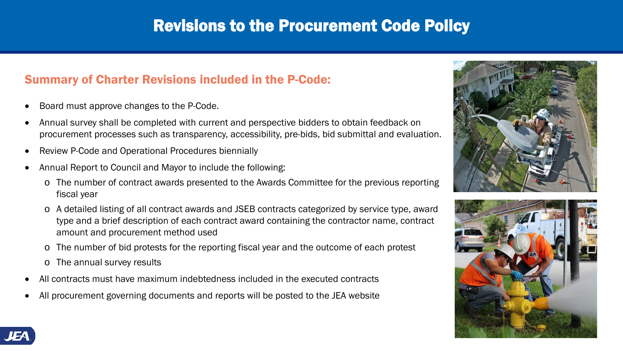## Summary of Charter Revisions included in the P-Code:

- Board must approve changes to the P-Code.
- Annual survey shall be completed with current and perspective bidders to obtain feedback on procurement processes such as transparency, accessibility, pre-bids, bid submittal and evaluation.
- Review P-Code and Operational Procedures biennially
- Annual Report to Council and Mayor to include the following:
	- o The number of contract awards presented to the Awards Committee for the previous reporting fiscal year
	- o A detailed listing of all contract awards and JSEB contracts categorized by service type, award type and a brief description of each contract award containing the contractor name, contract amount and procurement method used
	- o The number of bid protests for the reporting fiscal year and the outcome of each protest
	- o The annual survey results
- All contracts must have maximum indebtedness included in the executed contracts
- All procurement governing documents and reports will be posted to the JEA website







# Revisions to the Procurement Code Policy